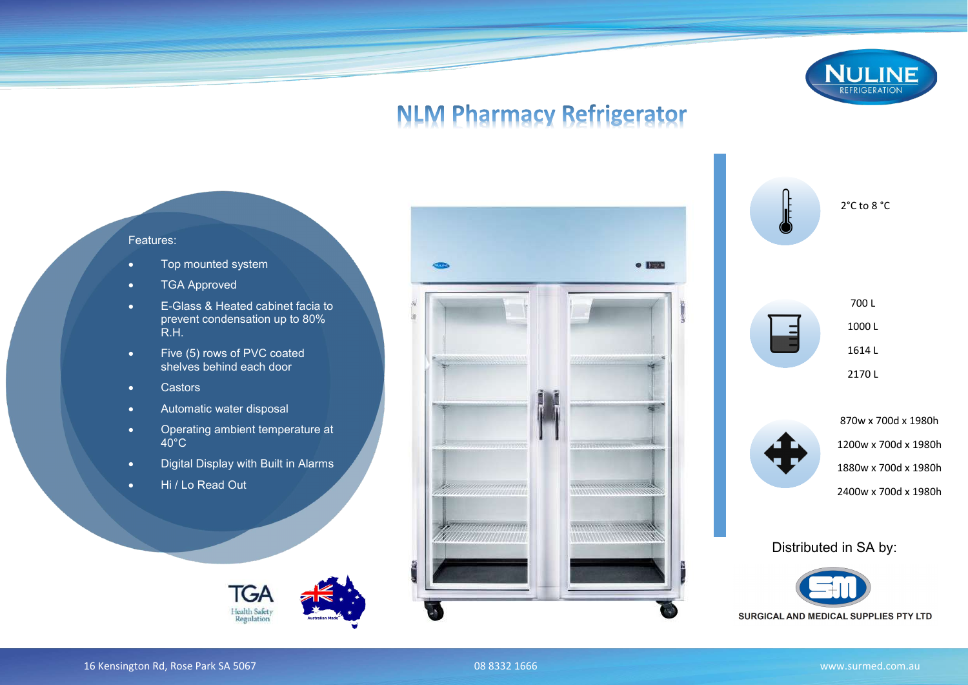

## **NLM Pharmacy Refrigerator**

Features:

- Top mounted system
- TGA Approved
- E-Glass & Heated cabinet facia to prevent condensation up to 80% R.H.
- Five (5) rows of PVC coated shelves behind each door
- Castors
- Automatic water disposal
- Operating ambient temperature at  $40^{\circ}$ C
- Digital Display with Built in Alarms
- Hi / Lo Read Out









Distributed in SA by: